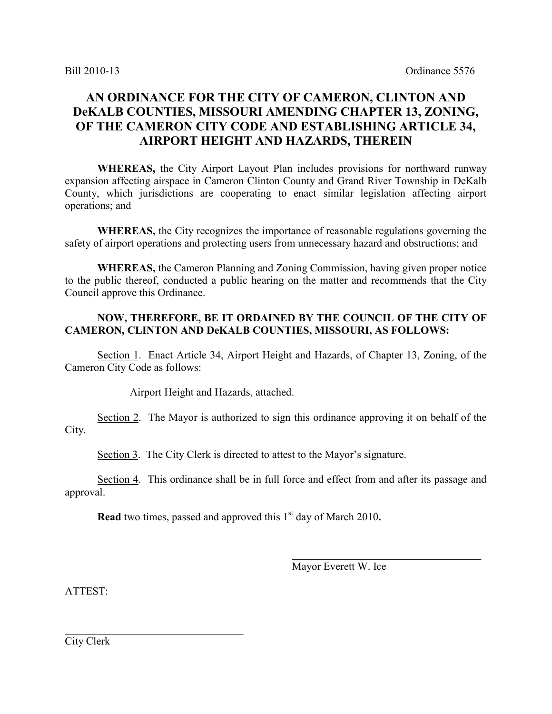## **AN ORDINANCE FOR THE CITY OF CAMERON, CLINTON AND DeKALB COUNTIES, MISSOURI AMENDING CHAPTER 13, ZONING, OF THE CAMERON CITY CODE AND ESTABLISHING ARTICLE 34, AIRPORT HEIGHT AND HAZARDS, THEREIN**

 **WHEREAS,** the City Airport Layout Plan includes provisions for northward runway expansion affecting airspace in Cameron Clinton County and Grand River Township in DeKalb County, which jurisdictions are cooperating to enact similar legislation affecting airport operations; and

**WHEREAS,** the City recognizes the importance of reasonable regulations governing the safety of airport operations and protecting users from unnecessary hazard and obstructions; and

**WHEREAS,** the Cameron Planning and Zoning Commission, having given proper notice to the public thereof, conducted a public hearing on the matter and recommends that the City Council approve this Ordinance.

#### **NOW, THEREFORE, BE IT ORDAINED BY THE COUNCIL OF THE CITY OF CAMERON, CLINTON AND DeKALB COUNTIES, MISSOURI, AS FOLLOWS:**

Section 1. Enact Article 34, Airport Height and Hazards, of Chapter 13, Zoning, of the Cameron City Code as follows:

Airport Height and Hazards, attached.

 Section 2. The Mayor is authorized to sign this ordinance approving it on behalf of the City.

Section 3. The City Clerk is directed to attest to the Mayor's signature.

 Section 4. This ordinance shall be in full force and effect from and after its passage and approval.

 $\mathcal{L}_\text{max}$  , and the contract of the contract of the contract of the contract of the contract of the contract of the contract of the contract of the contract of the contract of the contract of the contract of the contr

**Read** two times, passed and approved this 1<sup>st</sup> day of March 2010.

Mayor Everett W. Ice

ATTEST:

City Clerk

\_\_\_\_\_\_\_\_\_\_\_\_\_\_\_\_\_\_\_\_\_\_\_\_\_\_\_\_\_\_\_\_\_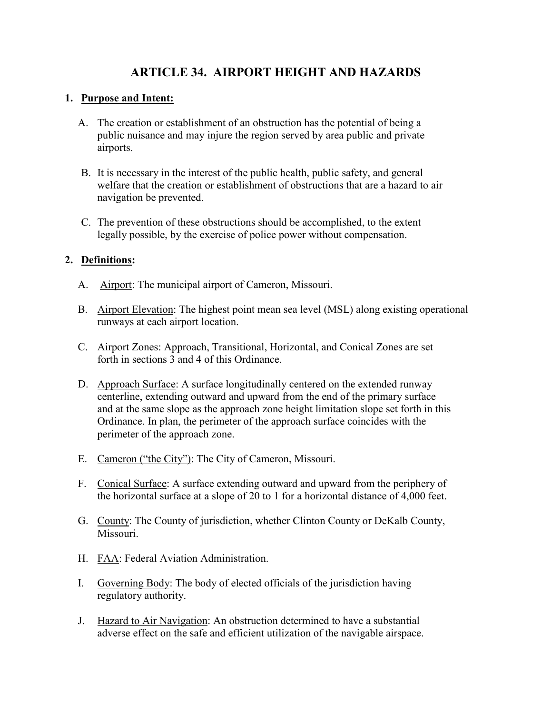# **ARTICLE 34. AIRPORT HEIGHT AND HAZARDS**

#### **1. Purpose and Intent:**

- A. The creation or establishment of an obstruction has the potential of being a public nuisance and may injure the region served by area public and private airports.
- B. It is necessary in the interest of the public health, public safety, and general welfare that the creation or establishment of obstructions that are a hazard to air navigation be prevented.
- C. The prevention of these obstructions should be accomplished, to the extent legally possible, by the exercise of police power without compensation.

### **2. Definitions:**

- A. Airport: The municipal airport of Cameron, Missouri.
- B. Airport Elevation: The highest point mean sea level (MSL) along existing operational runways at each airport location.
- C. Airport Zones: Approach, Transitional, Horizontal, and Conical Zones are set forth in sections 3 and 4 of this Ordinance.
- D. Approach Surface: A surface longitudinally centered on the extended runway centerline, extending outward and upward from the end of the primary surface and at the same slope as the approach zone height limitation slope set forth in this Ordinance. In plan, the perimeter of the approach surface coincides with the perimeter of the approach zone.
- E. Cameron ("the City"): The City of Cameron, Missouri.
- F. Conical Surface: A surface extending outward and upward from the periphery of the horizontal surface at a slope of 20 to 1 for a horizontal distance of 4,000 feet.
- G. County: The County of jurisdiction, whether Clinton County or DeKalb County, Missouri.
- H. FAA: Federal Aviation Administration.
- I. Governing Body: The body of elected officials of the jurisdiction having regulatory authority.
- J. Hazard to Air Navigation: An obstruction determined to have a substantial adverse effect on the safe and efficient utilization of the navigable airspace.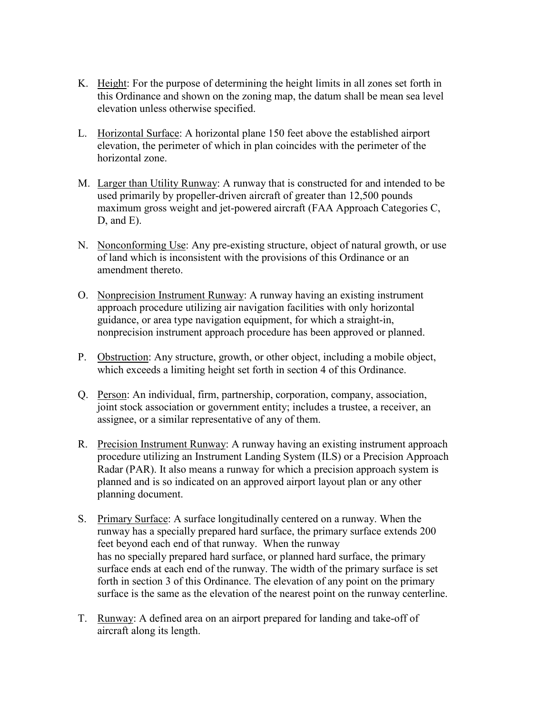- K. Height: For the purpose of determining the height limits in all zones set forth in this Ordinance and shown on the zoning map, the datum shall be mean sea level elevation unless otherwise specified.
- L. Horizontal Surface: A horizontal plane 150 feet above the established airport elevation, the perimeter of which in plan coincides with the perimeter of the horizontal zone.
- M. Larger than Utility Runway: A runway that is constructed for and intended to be used primarily by propeller-driven aircraft of greater than 12,500 pounds maximum gross weight and jet-powered aircraft (FAA Approach Categories C, D, and E).
- N. Nonconforming Use: Any pre-existing structure, object of natural growth, or use of land which is inconsistent with the provisions of this Ordinance or an amendment thereto.
- O. Nonprecision Instrument Runway: A runway having an existing instrument approach procedure utilizing air navigation facilities with only horizontal guidance, or area type navigation equipment, for which a straight-in, nonprecision instrument approach procedure has been approved or planned.
- P. Obstruction: Any structure, growth, or other object, including a mobile object, which exceeds a limiting height set forth in section 4 of this Ordinance.
- Q. Person: An individual, firm, partnership, corporation, company, association, joint stock association or government entity; includes a trustee, a receiver, an assignee, or a similar representative of any of them.
- R. Precision Instrument Runway: A runway having an existing instrument approach procedure utilizing an Instrument Landing System (ILS) or a Precision Approach Radar (PAR). It also means a runway for which a precision approach system is planned and is so indicated on an approved airport layout plan or any other planning document.
- S. Primary Surface: A surface longitudinally centered on a runway. When the runway has a specially prepared hard surface, the primary surface extends 200 feet beyond each end of that runway. When the runway has no specially prepared hard surface, or planned hard surface, the primary surface ends at each end of the runway. The width of the primary surface is set forth in section 3 of this Ordinance. The elevation of any point on the primary surface is the same as the elevation of the nearest point on the runway centerline.
- T. Runway: A defined area on an airport prepared for landing and take-off of aircraft along its length.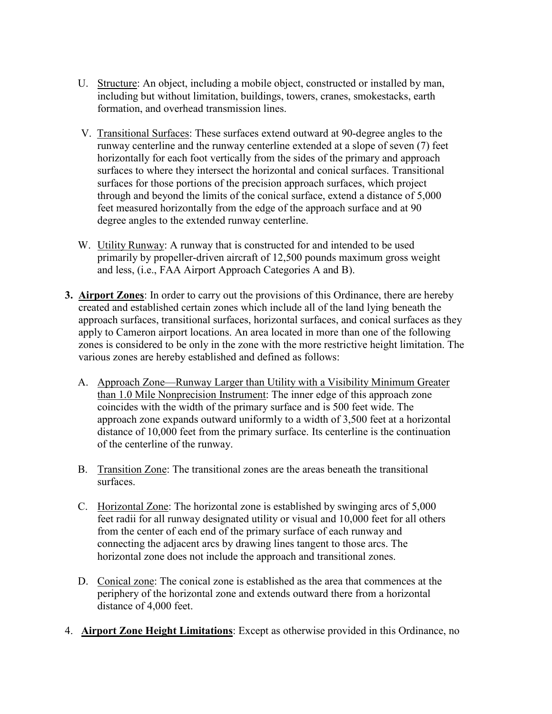- U. Structure: An object, including a mobile object, constructed or installed by man, including but without limitation, buildings, towers, cranes, smokestacks, earth formation, and overhead transmission lines.
- V. Transitional Surfaces: These surfaces extend outward at 90-degree angles to the runway centerline and the runway centerline extended at a slope of seven (7) feet horizontally for each foot vertically from the sides of the primary and approach surfaces to where they intersect the horizontal and conical surfaces. Transitional surfaces for those portions of the precision approach surfaces, which project through and beyond the limits of the conical surface, extend a distance of 5,000 feet measured horizontally from the edge of the approach surface and at 90 degree angles to the extended runway centerline.
- W. Utility Runway: A runway that is constructed for and intended to be used primarily by propeller-driven aircraft of 12,500 pounds maximum gross weight and less, (i.e., FAA Airport Approach Categories A and B).
- **3. Airport Zones**: In order to carry out the provisions of this Ordinance, there are hereby created and established certain zones which include all of the land lying beneath the approach surfaces, transitional surfaces, horizontal surfaces, and conical surfaces as they apply to Cameron airport locations. An area located in more than one of the following zones is considered to be only in the zone with the more restrictive height limitation. The various zones are hereby established and defined as follows:
	- A. Approach Zone—Runway Larger than Utility with a Visibility Minimum Greater than 1.0 Mile Nonprecision Instrument: The inner edge of this approach zone coincides with the width of the primary surface and is 500 feet wide. The approach zone expands outward uniformly to a width of 3,500 feet at a horizontal distance of 10,000 feet from the primary surface. Its centerline is the continuation of the centerline of the runway.
	- B. Transition Zone: The transitional zones are the areas beneath the transitional surfaces.
	- C. Horizontal Zone: The horizontal zone is established by swinging arcs of 5,000 feet radii for all runway designated utility or visual and 10,000 feet for all others from the center of each end of the primary surface of each runway and connecting the adjacent arcs by drawing lines tangent to those arcs. The horizontal zone does not include the approach and transitional zones.
	- D. Conical zone: The conical zone is established as the area that commences at the periphery of the horizontal zone and extends outward there from a horizontal distance of 4,000 feet.
- 4. **Airport Zone Height Limitations**: Except as otherwise provided in this Ordinance, no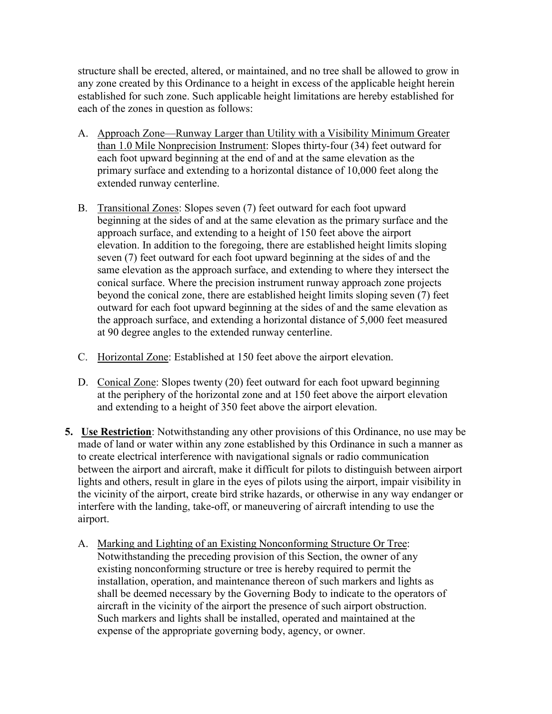structure shall be erected, altered, or maintained, and no tree shall be allowed to grow in any zone created by this Ordinance to a height in excess of the applicable height herein established for such zone. Such applicable height limitations are hereby established for each of the zones in question as follows:

- A. Approach Zone—Runway Larger than Utility with a Visibility Minimum Greater than 1.0 Mile Nonprecision Instrument: Slopes thirty-four (34) feet outward for each foot upward beginning at the end of and at the same elevation as the primary surface and extending to a horizontal distance of 10,000 feet along the extended runway centerline.
- B. Transitional Zones: Slopes seven (7) feet outward for each foot upward beginning at the sides of and at the same elevation as the primary surface and the approach surface, and extending to a height of 150 feet above the airport elevation. In addition to the foregoing, there are established height limits sloping seven (7) feet outward for each foot upward beginning at the sides of and the same elevation as the approach surface, and extending to where they intersect the conical surface. Where the precision instrument runway approach zone projects beyond the conical zone, there are established height limits sloping seven (7) feet outward for each foot upward beginning at the sides of and the same elevation as the approach surface, and extending a horizontal distance of 5,000 feet measured at 90 degree angles to the extended runway centerline.
- C. Horizontal Zone: Established at 150 feet above the airport elevation.
- D. Conical Zone: Slopes twenty (20) feet outward for each foot upward beginning at the periphery of the horizontal zone and at 150 feet above the airport elevation and extending to a height of 350 feet above the airport elevation.
- **5. Use Restriction**: Notwithstanding any other provisions of this Ordinance, no use may be made of land or water within any zone established by this Ordinance in such a manner as to create electrical interference with navigational signals or radio communication between the airport and aircraft, make it difficult for pilots to distinguish between airport lights and others, result in glare in the eyes of pilots using the airport, impair visibility in the vicinity of the airport, create bird strike hazards, or otherwise in any way endanger or interfere with the landing, take-off, or maneuvering of aircraft intending to use the airport.
	- A. Marking and Lighting of an Existing Nonconforming Structure Or Tree: Notwithstanding the preceding provision of this Section, the owner of any existing nonconforming structure or tree is hereby required to permit the installation, operation, and maintenance thereon of such markers and lights as shall be deemed necessary by the Governing Body to indicate to the operators of aircraft in the vicinity of the airport the presence of such airport obstruction. Such markers and lights shall be installed, operated and maintained at the expense of the appropriate governing body, agency, or owner.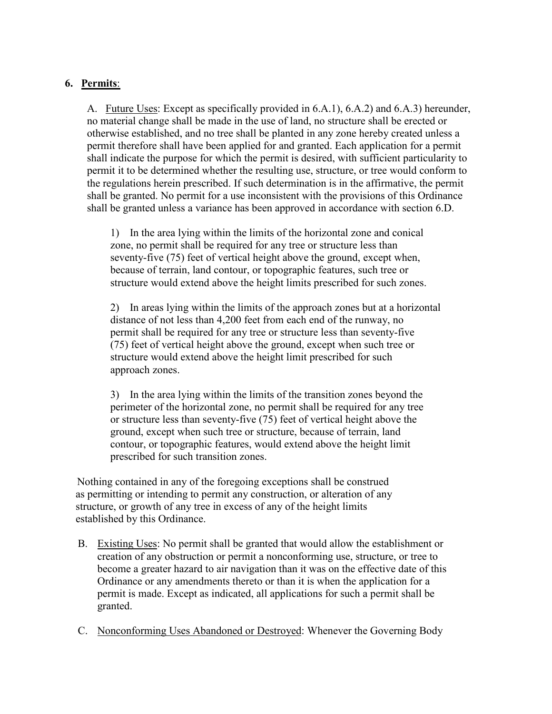### **6. Permits**:

A. Future Uses: Except as specifically provided in 6.A.1), 6.A.2) and 6.A.3) hereunder, no material change shall be made in the use of land, no structure shall be erected or otherwise established, and no tree shall be planted in any zone hereby created unless a permit therefore shall have been applied for and granted. Each application for a permit shall indicate the purpose for which the permit is desired, with sufficient particularity to permit it to be determined whether the resulting use, structure, or tree would conform to the regulations herein prescribed. If such determination is in the affirmative, the permit shall be granted. No permit for a use inconsistent with the provisions of this Ordinance shall be granted unless a variance has been approved in accordance with section 6.D.

1) In the area lying within the limits of the horizontal zone and conical zone, no permit shall be required for any tree or structure less than seventy-five (75) feet of vertical height above the ground, except when, because of terrain, land contour, or topographic features, such tree or structure would extend above the height limits prescribed for such zones.

2) In areas lying within the limits of the approach zones but at a horizontal distance of not less than 4,200 feet from each end of the runway, no permit shall be required for any tree or structure less than seventy-five (75) feet of vertical height above the ground, except when such tree or structure would extend above the height limit prescribed for such approach zones.

3) In the area lying within the limits of the transition zones beyond the perimeter of the horizontal zone, no permit shall be required for any tree or structure less than seventy-five (75) feet of vertical height above the ground, except when such tree or structure, because of terrain, land contour, or topographic features, would extend above the height limit prescribed for such transition zones.

Nothing contained in any of the foregoing exceptions shall be construed as permitting or intending to permit any construction, or alteration of any structure, or growth of any tree in excess of any of the height limits established by this Ordinance.

- B. Existing Uses: No permit shall be granted that would allow the establishment or creation of any obstruction or permit a nonconforming use, structure, or tree to become a greater hazard to air navigation than it was on the effective date of this Ordinance or any amendments thereto or than it is when the application for a permit is made. Except as indicated, all applications for such a permit shall be granted.
- C. Nonconforming Uses Abandoned or Destroyed: Whenever the Governing Body